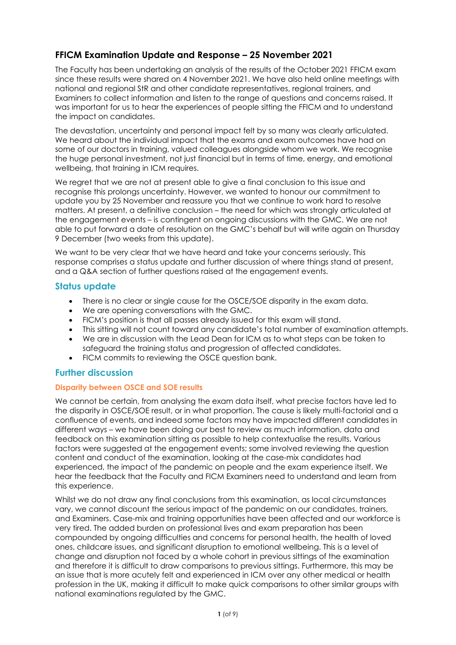# **FFICM Examination Update and Response – 25 November 2021**

The Faculty has been undertaking an analysis of the results of the October 2021 FFICM exam since these results were shared on 4 November 2021. We have also held online meetings with national and regional StR and other candidate representatives, regional trainers, and Examiners to collect information and listen to the range of questions and concerns raised. It was important for us to hear the experiences of people sitting the FFICM and to understand the impact on candidates.

The devastation, uncertainty and personal impact felt by so many was clearly articulated. We heard about the individual impact that the exams and exam outcomes have had on some of our doctors in training, valued colleagues alongside whom we work. We recognise the huge personal investment, not just financial but in terms of time, energy, and emotional wellbeing, that training in ICM requires.

We regret that we are not at present able to give a final conclusion to this issue and recognise this prolongs uncertainty. However, we wanted to honour our commitment to update you by 25 November and reassure you that we continue to work hard to resolve matters. At present, a definitive conclusion – the need for which was strongly articulated at the engagement events – is contingent on ongoing discussions with the GMC. We are not able to put forward a date of resolution on the GMC's behalf but will write again on Thursday 9 December (two weeks from this update).

We want to be very clear that we have heard and take your concerns seriously. This response comprises a status update and further discussion of where things stand at present, and a Q&A section of further questions raised at the engagement events.

## **Status update**

- There is no clear or single cause for the OSCE/SOE disparity in the exam data.
- We are opening conversations with the GMC.
- FICM's position is that all passes already issued for this exam will stand.
- This sitting will not count toward any candidate's total number of examination attempts.
- We are in discussion with the Lead Dean for ICM as to what steps can be taken to safeguard the training status and progression of affected candidates.
- FICM commits to reviewing the OSCE question bank.

## **Further discussion**

## **Disparity between OSCE and SOE results**

We cannot be certain, from analysing the exam data itself, what precise factors have led to the disparity in OSCE/SOE result, or in what proportion. The cause is likely multi-factorial and a confluence of events, and indeed some factors may have impacted different candidates in different ways – we have been doing our best to review as much information, data and feedback on this examination sitting as possible to help contextualise the results. Various factors were suggested at the engagement events; some involved reviewing the question content and conduct of the examination, looking at the case-mix candidates had experienced, the impact of the pandemic on people and the exam experience itself. We hear the feedback that the Faculty and FICM Examiners need to understand and learn from this experience.

Whilst we do not draw any final conclusions from this examination, as local circumstances vary, we cannot discount the serious impact of the pandemic on our candidates, trainers, and Examiners. Case-mix and training opportunities have been affected and our workforce is very tired. The added burden on professional lives and exam preparation has been compounded by ongoing difficulties and concerns for personal health, the health of loved ones, childcare issues, and significant disruption to emotional wellbeing. This is a level of change and disruption not faced by a whole cohort in previous sittings of the examination and therefore it is difficult to draw comparisons to previous sittings. Furthermore, this may be an issue that is more acutely felt and experienced in ICM over any other medical or health profession in the UK, making it difficult to make quick comparisons to other similar groups with national examinations regulated by the GMC.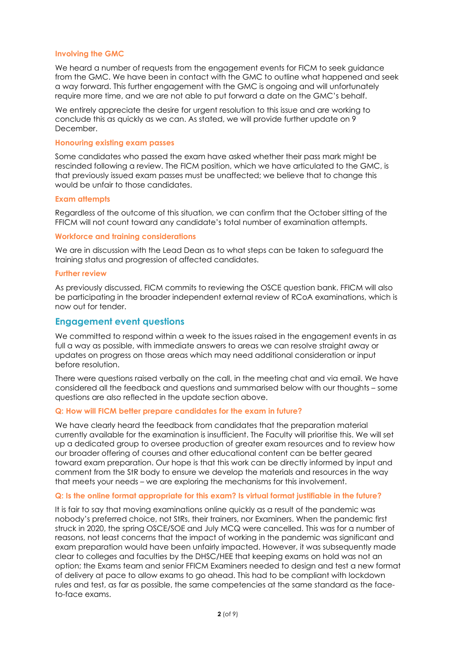#### **Involving the GMC**

We heard a number of requests from the engagement events for FICM to seek guidance from the GMC. We have been in contact with the GMC to outline what happened and seek a way forward. This further engagement with the GMC is ongoing and will unfortunately require more time, and we are not able to put forward a date on the GMC's behalf.

We entirely appreciate the desire for urgent resolution to this issue and are working to conclude this as quickly as we can. As stated, we will provide further update on 9 December.

#### **Honouring existing exam passes**

Some candidates who passed the exam have asked whether their pass mark might be rescinded following a review. The FICM position, which we have articulated to the GMC, is that previously issued exam passes must be unaffected; we believe that to change this would be unfair to those candidates.

#### **Exam attempts**

Regardless of the outcome of this situation, we can confirm that the October sitting of the FFICM will not count toward any candidate's total number of examination attempts.

#### **Workforce and training considerations**

We are in discussion with the Lead Dean as to what steps can be taken to safeguard the training status and progression of affected candidates.

#### **Further review**

As previously discussed, FICM commits to reviewing the OSCE question bank. FFICM will also be participating in the broader independent external review of RCoA examinations, which is now out for tender.

## **Engagement event questions**

We committed to respond within a week to the issues raised in the engagement events in as full a way as possible, with immediate answers to areas we can resolve straight away or updates on progress on those areas which may need additional consideration or input before resolution.

There were questions raised verbally on the call, in the meeting chat and via email. We have considered all the feedback and questions and summarised below with our thoughts – some questions are also reflected in the update section above.

#### **Q: How will FICM better prepare candidates for the exam in future?**

We have clearly heard the feedback from candidates that the preparation material currently available for the examination is insufficient. The Faculty will prioritise this. We will set up a dedicated group to oversee production of greater exam resources and to review how our broader offering of courses and other educational content can be better geared toward exam preparation. Our hope is that this work can be directly informed by input and comment from the StR body to ensure we develop the materials and resources in the way that meets your needs – we are exploring the mechanisms for this involvement.

#### **Q: Is the online format appropriate for this exam? Is virtual format justifiable in the future?**

It is fair to say that moving examinations online quickly as a result of the pandemic was nobody's preferred choice, not StRs, their trainers, nor Examiners. When the pandemic first struck in 2020, the spring OSCE/SOE and July MCQ were cancelled. This was for a number of reasons, not least concerns that the impact of working in the pandemic was significant and exam preparation would have been unfairly impacted. However, it was subsequently made clear to colleges and faculties by the DHSC/HEE that keeping exams on hold was not an option; the Exams team and senior FFICM Examiners needed to design and test a new format of delivery at pace to allow exams to go ahead. This had to be compliant with lockdown rules and test, as far as possible, the same competencies at the same standard as the faceto-face exams.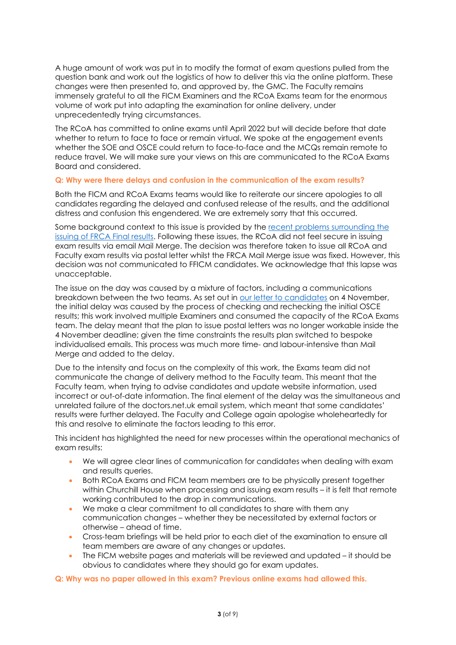A huge amount of work was put in to modify the format of exam questions pulled from the question bank and work out the logistics of how to deliver this via the online platform. These changes were then presented to, and approved by, the GMC. The Faculty remains immensely grateful to all the FICM Examiners and the RCoA Exams team for the enormous volume of work put into adapting the examination for online delivery, under unprecedentedly trying circumstances.

The RCoA has committed to online exams until April 2022 but will decide before that date whether to return to face to face or remain virtual. We spoke at the engagement events whether the SOE and OSCE could return to face-to-face and the MCQs remain remote to reduce travel. We will make sure your views on this are communicated to the RCoA Exams Board and considered.

#### **Q: Why were there delays and confusion in the communication of the exam results?**

Both the FICM and RCoA Exams teams would like to reiterate our sincere apologies to all candidates regarding the delayed and confused release of the results, and the additional distress and confusion this engendered. We are extremely sorry that this occurred.

Some background context to this issue is provided by the [recent problems surrounding the](about:blank)  [issuing of FRCA Final results.](about:blank) Following these issues, the RCoA did not feel secure in issuing exam results via email Mail Merge. The decision was therefore taken to issue all RCoA and Faculty exam results via postal letter whilst the FRCA Mail Merge issue was fixed. However, this decision was not communicated to FFICM candidates. We acknowledge that this lapse was unacceptable.

The issue on the day was caused by a mixture of factors, including a communications breakdown between the two teams. As set out in our letter to candidates on 4 November, the initial delay was caused by the process of checking and rechecking the initial OSCE results; this work involved multiple Examiners and consumed the capacity of the RCoA Exams team. The delay meant that the plan to issue postal letters was no longer workable inside the 4 November deadline; given the time constraints the results plan switched to bespoke individualised emails. This process was much more time- and labour-intensive than Mail Merge and added to the delay.

Due to the intensity and focus on the complexity of this work, the Exams team did not communicate the change of delivery method to the Faculty team. This meant that the Faculty team, when trying to advise candidates and update website information, used incorrect or out-of-date information. The final element of the delay was the simultaneous and unrelated failure of the doctors.net.uk email system, which meant that some candidates' results were further delayed. The Faculty and College again apologise wholeheartedly for this and resolve to eliminate the factors leading to this error.

This incident has highlighted the need for new processes within the operational mechanics of exam results:

- We will agree clear lines of communication for candidates when dealing with exam and results queries.
- Both RCoA Exams and FICM team members are to be physically present together within Churchill House when processing and issuing exam results – it is felt that remote working contributed to the drop in communications.
- We make a clear commitment to all candidates to share with them any communication changes – whether they be necessitated by external factors or otherwise – ahead of time.
- Cross-team briefings will be held prior to each diet of the examination to ensure all team members are aware of any changes or updates.
- The FICM website pages and materials will be reviewed and updated it should be obvious to candidates where they should go for exam updates.

**Q: Why was no paper allowed in this exam? Previous online exams had allowed this.**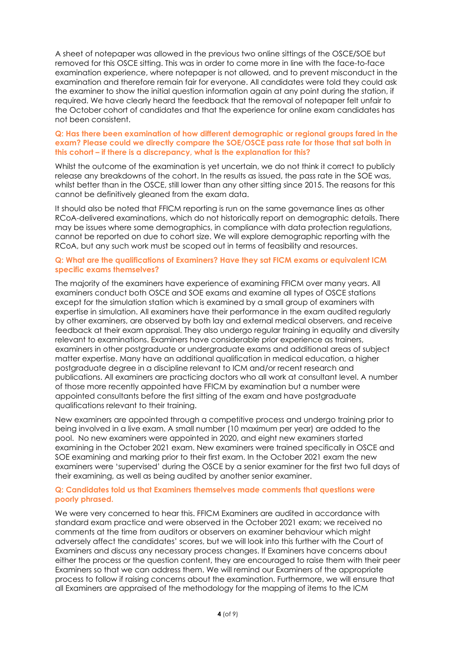A sheet of notepaper was allowed in the previous two online sittings of the OSCE/SOE but removed for this OSCE sitting. This was in order to come more in line with the face-to-face examination experience, where notepaper is not allowed, and to prevent misconduct in the examination and therefore remain fair for everyone. All candidates were told they could ask the examiner to show the initial question information again at any point during the station, if required. We have clearly heard the feedback that the removal of notepaper felt unfair to the October cohort of candidates and that the experience for online exam candidates has not been consistent.

#### **Q: Has there been examination of how different demographic or regional groups fared in the exam? Please could we directly compare the SOE/OSCE pass rate for those that sat both in this cohort – if there is a discrepancy, what is the explanation for this?**

Whilst the outcome of the examination is yet uncertain, we do not think it correct to publicly release any breakdowns of the cohort. In the results as issued, the pass rate in the SOE was, whilst better than in the OSCE, still lower than any other sitting since 2015. The reasons for this cannot be definitively gleaned from the exam data.

It should also be noted that FFICM reporting is run on the same governance lines as other RCoA-delivered examinations, which do not historically report on demographic details. There may be issues where some demographics, in compliance with data protection regulations, cannot be reported on due to cohort size. We will explore demographic reporting with the RCoA, but any such work must be scoped out in terms of feasibility and resources.

#### **Q: What are the qualifications of Examiners? Have they sat FICM exams or equivalent ICM specific exams themselves?**

The majority of the examiners have experience of examining FFICM over many years. All examiners conduct both OSCE and SOE exams and examine all types of OSCE stations except for the simulation station which is examined by a small group of examiners with expertise in simulation. All examiners have their performance in the exam audited regularly by other examiners, are observed by both lay and external medical observers, and receive feedback at their exam appraisal. They also undergo regular training in equality and diversity relevant to examinations. Examiners have considerable prior experience as trainers, examiners in other postgraduate or undergraduate exams and additional areas of subject matter expertise. Many have an additional qualification in medical education, a higher postgraduate degree in a discipline relevant to ICM and/or recent research and publications. All examiners are practicing doctors who all work at consultant level. A number of those more recently appointed have FFICM by examination but a number were appointed consultants before the first sitting of the exam and have postgraduate qualifications relevant to their training.

New examiners are appointed through a competitive process and undergo training prior to being involved in a live exam. A small number (10 maximum per year) are added to the pool. No new examiners were appointed in 2020, and eight new examiners started examining in the October 2021 exam. New examiners were trained specifically in OSCE and SOE examining and marking prior to their first exam. In the October 2021 exam the new examiners were 'supervised' during the OSCE by a senior examiner for the first two full days of their examining, as well as being audited by another senior examiner.

#### **Q: Candidates told us that Examiners themselves made comments that questions were poorly phrased.**

We were very concerned to hear this. FFICM Examiners are audited in accordance with standard exam practice and were observed in the October 2021 exam; we received no comments at the time from auditors or observers on examiner behaviour which might adversely affect the candidates' scores, but we will look into this further with the Court of Examiners and discuss any necessary process changes. If Examiners have concerns about either the process or the question content, they are encouraged to raise them with their peer Examiners so that we can address them. We will remind our Examiners of the appropriate process to follow if raising concerns about the examination. Furthermore, we will ensure that all Examiners are appraised of the methodology for the mapping of items to the ICM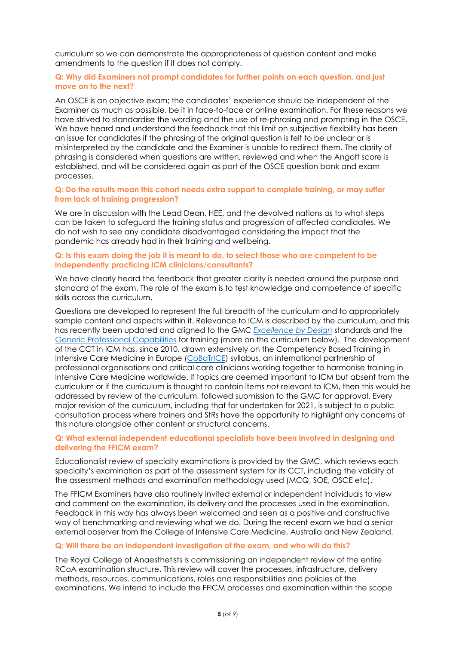curriculum so we can demonstrate the appropriateness of question content and make amendments to the question if it does not comply.

#### **Q: Why did Examiners not prompt candidates for further points on each question, and just move on to the next?**

An OSCE is an objective exam; the candidates' experience should be independent of the Examiner as much as possible, be it in face-to-face or online examination. For these reasons we have strived to standardise the wording and the use of re-phrasing and prompting in the OSCE. We have heard and understand the feedback that this limit on subjective flexibility has been an issue for candidates if the phrasing of the original question is felt to be unclear or is misinterpreted by the candidate and the Examiner is unable to redirect them. The clarity of phrasing is considered when questions are written, reviewed and when the Angoff score is established, and will be considered again as part of the OSCE question bank and exam processes.

#### **Q: Do the results mean this cohort needs extra support to complete training, or may suffer from lack of training progression?**

We are in discussion with the Lead Dean, HEE, and the devolved nations as to what steps can be taken to safeguard the training status and progression of affected candidates. We do not wish to see any candidate disadvantaged considering the impact that the pandemic has already had in their training and wellbeing.

#### **Q: Is this exam doing the job it is meant to do, to select those who are competent to be independently practicing ICM clinicians/consultants?**

We have clearly heard the feedback that greater clarity is needed around the purpose and standard of the exam. The role of the exam is to test knowledge and competence of specific skills across the curriculum.

Questions are developed to represent the full breadth of the curriculum and to appropriately sample content and aspects within it. Relevance to ICM is described by the curriculum, and this has recently been updated and aligned to the GMC *[Excellence by Design](about:blank)* standards and the Generic [Professional Capabilities](about:blank) for training (more on the curriculum below). The development of the CCT in ICM has, since 2010, drawn extensively on the Competency Based Training in Intensive Care Medicine in Europe [\(CoBaTrICE\)](about:blank) syllabus, an international partnership of professional organisations and critical care clinicians working together to harmonise training in Intensive Care Medicine worldwide. If topics are deemed important to ICM but absent from the curriculum or if the curriculum is thought to contain items *not* relevant to ICM, then this would be addressed by review of the curriculum, followed submission to the GMC for approval. Every major revision of the curriculum, including that for undertaken for 2021, is subject to a public consultation process where trainers and StRs have the opportunity to highlight any concerns of this nature alongside other content or structural concerns.

#### **Q: What external independent educational specialists have been involved in designing and delivering the FFICM exam?**

Educationalist review of specialty examinations is provided by the GMC, which reviews each specialty's examination as part of the assessment system for its CCT, including the validity of the assessment methods and examination methodology used (MCQ, SOE, OSCE etc).

The FFICM Examiners have also routinely invited external or independent individuals to view and comment on the examination, its delivery and the processes used in the examination. Feedback in this way has always been welcomed and seen as a positive and constructive way of benchmarking and reviewing what we do. During the recent exam we had a senior external observer from the College of Intensive Care Medicine, Australia and New Zealand.

#### **Q: Will there be an independent investigation of the exam, and who will do this?**

The Royal College of Anaesthetists is commissioning an independent review of the entire RCoA examination structure. This review will cover the processes, infrastructure, delivery methods, resources, communications, roles and responsibilities and policies of the examinations. We intend to include the FFICM processes and examination within the scope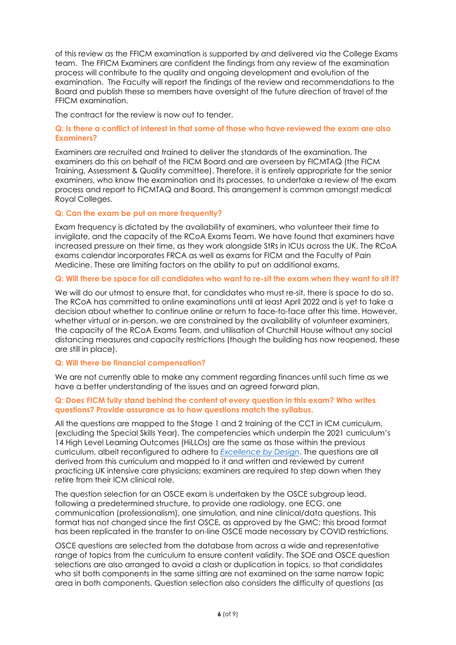of this review as the FFICM examination is supported by and delivered via the College Exams team. The FFICM Examiners are confident the findings from any review of the examination process will contribute to the quality and ongoing development and evolution of the examination. The Faculty will report the findings of the review and recommendations to the Board and publish these so members have oversight of the future direction of travel of the FFICM examination.

The contract for the review is now out to tender.

#### **Q: Is there a conflict of interest in that some of those who have reviewed the exam are also Examiners?**

Examiners are recruited and trained to deliver the standards of the examination. The examiners do this on behalf of the FICM Board and are overseen by FICMTAQ (the FICM Training, Assessment & Quality committee). Therefore, it is entirely appropriate for the senior examiners, who know the examination and its processes, to undertake a review of the exam process and report to FICMTAQ and Board. This arrangement is common amongst medical Royal Colleges.

#### **Q: Can the exam be put on more frequently?**

Exam frequency is dictated by the availability of examiners, who volunteer their time to invigilate, and the capacity of the RCoA Exams Team. We have found that examiners have increased pressure on their time, as they work alongside StRs in ICUs across the UK. The RCoA exams calendar incorporates FRCA as well as exams for FICM and the Faculty of Pain Medicine. These are limiting factors on the ability to put on additional exams.

#### **Q: Will there be space for all candidates who want to re-sit the exam when they want to sit it?**

We will do our utmost to ensure that, for candidates who must re-sit, there is space to do so. The RCoA has committed to online examinations until at least April 2022 and is yet to take a decision about whether to continue online or return to face-to-face after this time. However, whether virtual or in-person, we are constrained by the availability of volunteer examiners, the capacity of the RCoA Exams Team, and utilisation of Churchill House without any social distancing measures and capacity restrictions (though the building has now reopened, these are still in place).

#### **Q: Will there be financial compensation?**

We are not currently able to make any comment regarding finances until such time as we have a better understanding of the issues and an agreed forward plan.

#### **Q: Does FICM fully stand behind the content of every question in this exam? Who writes questions? Provide assurance as to how questions match the syllabus.**

All the questions are mapped to the Stage 1 and 2 training of the CCT in ICM curriculum, (excluding the Special Skills Year). The competencies which underpin the 2021 curriculum's 14 High Level Learning Outcomes (HiLLOs) are the same as those within the previous curriculum, albeit reconfigured to adhere to *[Excellence by Design](https://www.gmc-uk.org/education/standards-guidance-and-curricula/standards-and-outcomes/excellence-by-design)*. The questions are all derived from this curriculum and mapped to it and written and reviewed by current practicing UK intensive care physicians; examiners are required to step down when they retire from their ICM clinical role.

The question selection for an OSCE exam is undertaken by the OSCE subgroup lead, following a predetermined structure, to provide one radiology, one ECG, one communication (professionalism), one simulation, and nine clinical/data questions. This format has not changed since the first OSCE, as approved by the GMC; this broad format has been replicated in the transfer to on-line OSCE made necessary by COVID restrictions.

OSCE questions are selected from the database from across a wide and representative range of topics from the curriculum to ensure content validity. The SOE and OSCE question selections are also arranged to avoid a clash or duplication in topics, so that candidates who sit both components in the same sitting are not examined on the same narrow topic area in both components. Question selection also considers the difficulty of questions (as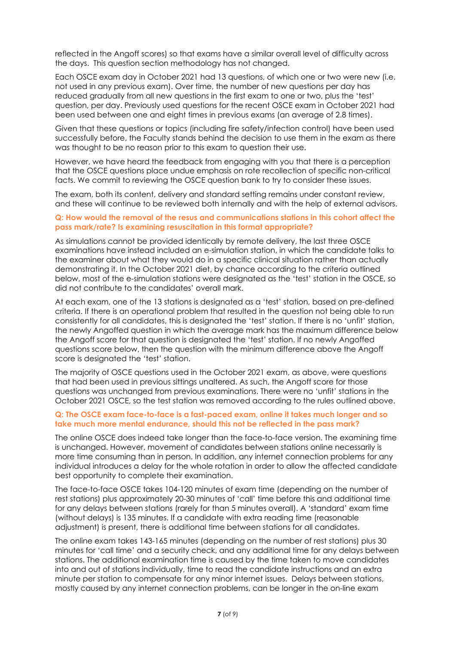reflected in the Angoff scores) so that exams have a similar overall level of difficulty across the days. This question section methodology has not changed.

Each OSCE exam day in October 2021 had 13 questions, of which one or two were new (i.e. not used in any previous exam). Over time, the number of new questions per day has reduced gradually from all new questions in the first exam to one or two, plus the 'test' question, per day. Previously used questions for the recent OSCE exam in October 2021 had been used between one and eight times in previous exams (an average of 2.8 times).

Given that these questions or topics (including fire safety/infection control) have been used successfully before, the Faculty stands behind the decision to use them in the exam as there was thought to be no reason prior to this exam to question their use.

However, we have heard the feedback from engaging with you that there is a perception that the OSCE questions place undue emphasis on rote recollection of specific non-critical facts. We commit to reviewing the OSCE question bank to try to consider these issues.

The exam, both its content, delivery and standard setting remains under constant review, and these will continue to be reviewed both internally and with the help of external advisors.

#### **Q: How would the removal of the resus and communications stations in this cohort affect the pass mark/rate? Is examining resuscitation in this format appropriate?**

As simulations cannot be provided identically by remote delivery, the last three OSCE examinations have instead included an e-simulation station, in which the candidate talks to the examiner about what they would do in a specific clinical situation rather than actually demonstrating it. In the October 2021 diet, by chance according to the criteria outlined below, most of the e-simulation stations were designated as the 'test' station in the OSCE, so did not contribute to the candidates' overall mark.

At each exam, one of the 13 stations is designated as a 'test' station, based on pre-defined criteria. If there is an operational problem that resulted in the question not being able to run consistently for all candidates, this is designated the 'test' station. If there is no 'unfit' station, the newly Angoffed question in which the average mark has the maximum difference below the Angoff score for that question is designated the 'test' station. If no newly Angoffed questions score below, then the question with the minimum difference above the Angoff score is designated the 'test' station.

The majority of OSCE questions used in the October 2021 exam, as above, were questions that had been used in previous sittings unaltered. As such, the Angoff score for those questions was unchanged from previous examinations. There were no 'unfit' stations in the October 2021 OSCE, so the test station was removed according to the rules outlined above.

#### **Q: The OSCE exam face-to-face is a fast-paced exam, online it takes much longer and so take much more mental endurance, should this not be reflected in the pass mark?**

The online OSCE does indeed take longer than the face-to-face version. The examining time is unchanged. However, movement of candidates between stations online necessarily is more time consuming than in person. In addition, any internet connection problems for any individual introduces a delay for the whole rotation in order to allow the affected candidate best opportunity to complete their examination.

The face-to-face OSCE takes 104-120 minutes of exam time (depending on the number of rest stations) plus approximately 20-30 minutes of 'call' time before this and additional time for any delays between stations (rarely for than 5 minutes overall). A 'standard' exam time (without delays) is 135 minutes. If a candidate with extra reading time (reasonable adjustment) is present, there is additional time between stations for all candidates.

The online exam takes 143-165 minutes (depending on the number of rest stations) plus 30 minutes for 'call time' and a security check, and any additional time for any delays between stations. The additional examination time is caused by the time taken to move candidates into and out of stations individually, time to read the candidate instructions and an extra minute per station to compensate for any minor internet issues. Delays between stations, mostly caused by any internet connection problems, can be longer in the on-line exam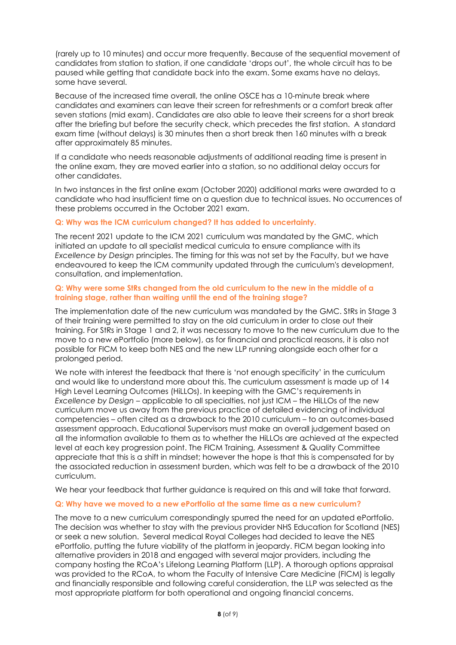(rarely up to 10 minutes) and occur more frequently. Because of the sequential movement of candidates from station to station, if one candidate 'drops out', the whole circuit has to be paused while getting that candidate back into the exam. Some exams have no delays, some have several.

Because of the increased time overall, the online OSCE has a 10-minute break where candidates and examiners can leave their screen for refreshments or a comfort break after seven stations (mid exam). Candidates are also able to leave their screens for a short break after the briefing but before the security check, which precedes the first station. A standard exam time (without delays) is 30 minutes then a short break then 160 minutes with a break after approximately 85 minutes.

If a candidate who needs reasonable adjustments of additional reading time is present in the online exam, they are moved earlier into a station, so no additional delay occurs for other candidates.

In two instances in the first online exam (October 2020) additional marks were awarded to a candidate who had insufficient time on a question due to technical issues. No occurrences of these problems occurred in the October 2021 exam.

### **Q: Why was the ICM curriculum changed? It has added to uncertainty.**

The recent 2021 update to the ICM 2021 curriculum was mandated by the GMC, which initiated an update to all specialist medical curricula to ensure compliance with its *Excellence by Design* principles. The timing for this was not set by the Faculty, but we have endeavoured to keep the ICM community updated through the curriculum's development, consultation, and implementation.

#### **Q: Why were some StRs changed from the old curriculum to the new in the middle of a training stage, rather than waiting until the end of the training stage?**

The implementation date of the new curriculum was mandated by the GMC. StRs in Stage 3 of their training were permitted to stay on the old curriculum in order to close out their training. For StRs in Stage 1 and 2, it was necessary to move to the new curriculum due to the move to a new ePortfolio (more below), as for financial and practical reasons, it is also not possible for FICM to keep both NES and the new LLP running alongside each other for a prolonged period.

We note with interest the feedback that there is 'not enough specificity' in the curriculum and would like to understand more about this. The curriculum assessment is made up of 14 High Level Learning Outcomes (HiLLOs). In keeping with the GMC's requirements in *Excellence by Design* – applicable to all specialties, not just ICM – the HiLLOs of the new curriculum move us away from the previous practice of detailed evidencing of individual competencies – often cited as a drawback to the 2010 curriculum – to an outcomes-based assessment approach. Educational Supervisors must make an overall judgement based on all the information available to them as to whether the HiLLOs are achieved at the expected level at each key progression point. The FICM Training, Assessment & Quality Committee appreciate that this is a shift in mindset; however the hope is that this is compensated for by the associated reduction in assessment burden, which was felt to be a drawback of the 2010 curriculum.

We hear your feedback that further guidance is required on this and will take that forward.

#### **Q: Why have we moved to a new ePortfolio at the same time as a new curriculum?**

The move to a new curriculum correspondingly spurred the need for an updated ePortfolio. The decision was whether to stay with the previous provider NHS Education for Scotland (NES) or seek a new solution. Several medical Royal Colleges had decided to leave the NES ePortfolio, putting the future viability of the platform in jeopardy. FICM began looking into alternative providers in 2018 and engaged with several major providers, including the company hosting the RCoA's Lifelong Learning Platform (LLP). A thorough options appraisal was provided to the RCoA, to whom the Faculty of Intensive Care Medicine (FICM) is legally and financially responsible and following careful consideration, the LLP was selected as the most appropriate platform for both operational and ongoing financial concerns.